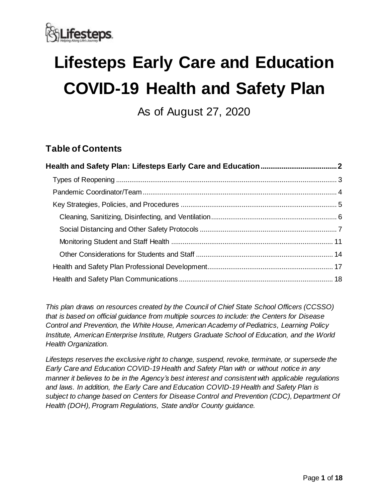

# **Lifesteps Early Care and Education COVID-19 Health and Safety Plan**

As of August 27, 2020

# **Table of Contents**

*This plan draws on resources created by the Council of Chief State School Officers (CCSSO) that is based on official guidance from multiple sources to include: the Centers for Disease Control and Prevention, the White House, American Academy of Pediatrics, Learning Policy Institute, American Enterprise Institute, Rutgers Graduate School of Education, and the World Health Organization.*

*Lifesteps reserves the exclusive right to change, suspend, revoke, terminate, or supersede the Early Care and Education COVID-19 Health and Safety Plan with or without notice in any manner it believes to be in the Agency's best interest and consistent with applicable regulations and laws. In addition, the Early Care and Education COVID-19 Health and Safety Plan is subject to change based on Centers for Disease Control and Prevention (CDC), Department Of Health (DOH), Program Regulations, State and/or County guidance.*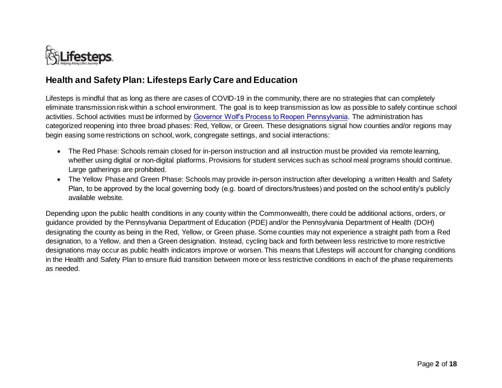

## **Health and Safety Plan: Lifesteps Early Care and Education**

Lifesteps is mindful that as long as there are cases of COVID-19 in the community, there are no strategies that can completely eliminate transmission risk within a school environment. The goal is to keep transmission as low as possible to safely continue school activities. School activities must be informed by [Governor Wolf's Process to Reopen Pennsylvania.](https://www.governor.pa.gov/process-to-reopen-pennsylvania/) The administration has categorized reopening into three broad phases: Red, Yellow, or Green. These designations signal how counties and/or regions may begin easing some restrictions on school, work, congregate settings, and social interactions:

- The Red Phase: Schools remain closed for in-person instruction and all instruction must be provided via remote learning, whether using digital or non-digital platforms. Provisions for student services such as school meal programs should continue. Large gatherings are prohibited.
- <span id="page-1-0"></span> The Yellow Phase and Green Phase: Schools may provide in-person instruction after developing a written Health and Safety Plan, to be approved by the local governing body (e.g. board of directors/trustees) and posted on the school entity's publicly available website.

Depending upon the public health conditions in any county within the Commonwealth, there could be additional actions, orders, or guidance provided by the Pennsylvania Department of Education (PDE) and/or the Pennsylvania Department of Health (DOH) designating the county as being in the Red, Yellow, or Green phase. Some counties may not experience a straight path from a Red designation, to a Yellow, and then a Green designation. Instead, cycling back and forth between less restrictive to more restrictive designations may occur as public health indicators improve or worsen. This means that Lifesteps will account for changing conditions in the Health and Safety Plan to ensure fluid transition between more or less restrictive conditions in each of the phase requirements as needed.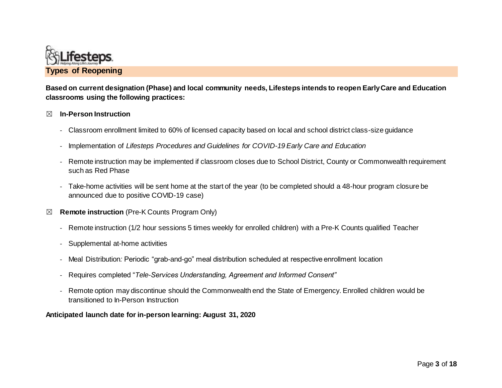

**Based on current designation (Phase) and local community needs, Lifesteps intends to reopen Early Care and Education classrooms using the following practices:**

#### ☒ **In-Person Instruction**

- Classroom enrollment limited to 60% of licensed capacity based on local and school district class-size guidance
- Implementation of *Lifesteps Procedures and Guidelines for COVID-19 Early Care and Education*
- Remote instruction may be implemented if classroom closes due to School District, County or Commonwealth requirement such as Red Phase
- <span id="page-2-0"></span>- Take-home activities will be sent home at the start of the year (to be completed should a 48-hour program closure be announced due to positive COVID-19 case)
- ☒ **Remote instruction** (Pre-K Counts Program Only)
	- Remote instruction (1/2 hour sessions 5 times weekly for enrolled children) with a Pre-K Counts qualified Teacher
	- Supplemental at-home activities
	- Meal Distribution*:* Periodic "grab-and-go" meal distribution scheduled at respective enrollment location
	- Requires completed "*Tele-Services Understanding, Agreement and Informed Consent"*
	- Remote option may discontinue should the Commonwealth end the State of Emergency. Enrolled children would be transitioned to In-Person Instruction

#### <span id="page-2-1"></span>**Anticipated launch date for in-person learning: August 31, 2020**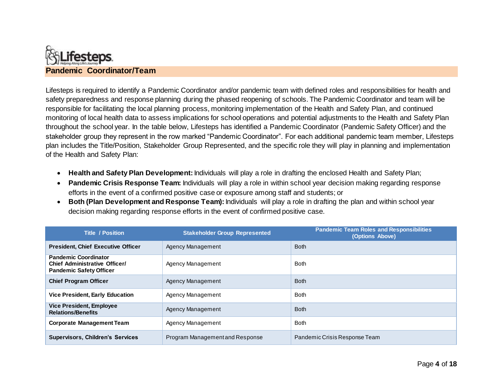

Lifesteps is required to identify a Pandemic Coordinator and/or pandemic team with defined roles and responsibilities for health and safety preparedness and response planning during the phased reopening of schools. The Pandemic Coordinator and team will be responsible for facilitating the local planning process, monitoring implementation of the Health and Safety Plan, and continued monitoring of local health data to assess implications for school operations and potential adjustments to the Health and Safety Plan throughout the school year. In the table below, Lifesteps has identified a Pandemic Coordinator (Pandemic Safety Officer) and the stakeholder group they represent in the row marked "Pandemic Coordinator". For each additional pandemic team member, Lifesteps plan includes the Title/Position, Stakeholder Group Represented, and the specific role they will play in planning and implementation of the Health and Safety Plan:

- **Health and Safety Plan Development:**Individuals will play a role in drafting the enclosed Health and Safety Plan;
- **Pandemic Crisis Response Team:** Individuals will play a role in within school year decision making regarding response efforts in the event of a confirmed positive case or exposure among staff and students; or
- **Both (Plan Development and Response Team):**Individuals will play a role in drafting the plan and within school year decision making regarding response efforts in the event of confirmed positive case.

| <b>Title / Position</b>                                                                               | <b>Stakeholder Group Represented</b> | <b>Pandemic Team Roles and Responsibilities</b><br>(Options Above) |
|-------------------------------------------------------------------------------------------------------|--------------------------------------|--------------------------------------------------------------------|
| <b>President, Chief Executive Officer</b>                                                             | Agency Management                    | <b>Both</b>                                                        |
| <b>Pandemic Coordinator</b><br><b>Chief Administrative Officer/</b><br><b>Pandemic Safety Officer</b> | Agency Management                    | <b>Both</b>                                                        |
| <b>Chief Program Officer</b>                                                                          | Agency Management                    | <b>Both</b>                                                        |
| <b>Vice President, Early Education</b>                                                                | Agency Management                    | <b>Both</b>                                                        |
| <b>Vice President, Employee</b><br><b>Relations/Benefits</b>                                          | Agency Management                    | <b>Both</b>                                                        |
| <b>Corporate Management Team</b>                                                                      | Agency Management                    | <b>Both</b>                                                        |
| <b>Supervisors, Children's Services</b>                                                               | Program Management and Response      | Pandemic Crisis Response Team                                      |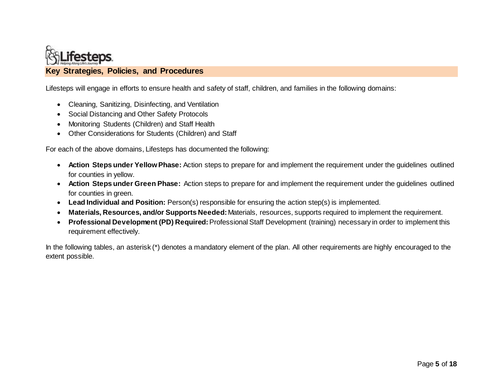

Lifesteps will engage in efforts to ensure health and safety of staff, children, and families in the following domains:

- Cleaning, Sanitizing, Disinfecting, and Ventilation
- Social Distancing and Other Safety Protocols
- Monitoring Students (Children) and Staff Health
- Other Considerations for Students (Children) and Staff

For each of the above domains, Lifesteps has documented the following:

- **Action Steps under Yellow Phase:** Action steps to prepare for and implement the requirement under the guidelines outlined for counties in yellow.
- <span id="page-4-0"></span> **Action Steps under Green Phase:** Action steps to prepare for and implement the requirement under the guidelines outlined for counties in green.
- **Lead Individual and Position:** Person(s) responsible for ensuring the action step(s) is implemented.
- **Materials, Resources, and/or Supports Needed:**Materials, resources, supports required to implement the requirement.
- **Professional Development (PD) Required:**Professional Staff Development (training) necessary in order to implement this requirement effectively.

In the following tables, an asterisk (\*) denotes a mandatory element of the plan. All other requirements are highly encouraged to the extent possible.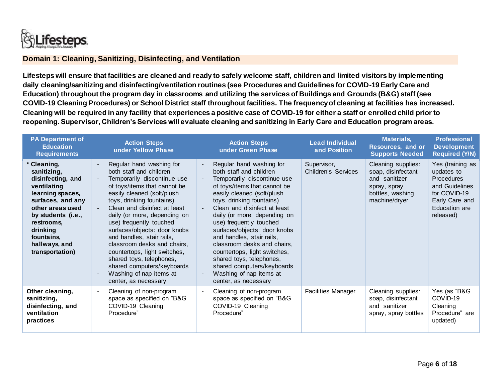

#### **Domain 1: Cleaning, Sanitizing, Disinfecting, and Ventilation**

**Lifesteps will ensure that facilities are cleaned and ready to safely welcome staff, children and limited visitors by implementing daily cleaning/sanitizing and disinfecting/ventilation routines (see Procedures and Guidelines for COVID-19 Early Care and Education) throughout the program day in classrooms and utilizing the services of Buildings and Grounds (B&G) staff (see COVID-19 Cleaning Procedures) or School District staff throughout facilities. The frequency of cleaning at facilities has increased. Cleaning will be required in any facility that experiences a positive case of COVID-19 for either a staff or enrolled child prior to reopening. Supervisor, Children's Services will evaluate cleaning and sanitizing in Early Care and Education program areas.** 

<span id="page-5-1"></span><span id="page-5-0"></span>

| <b>PA Department of</b><br><b>Education</b><br><b>Requirements</b>                                                                                                                                                          | <b>Action Steps</b><br>under Yellow Phase                                                                                                                                                                                                                                                                                                                                                                                                                                                                                                             | <b>Action Steps</b><br>under Green Phase                                                                                                                                                                                                                                                                                                                                                                                                                                                                                                              | <b>Lead Individual</b><br>and Position | <b>Materials,</b><br>Resources, and or<br><b>Supports Needed</b>                                               | <b>Professional</b><br><b>Development</b><br><b>Required (Y/N)</b>                                                             |
|-----------------------------------------------------------------------------------------------------------------------------------------------------------------------------------------------------------------------------|-------------------------------------------------------------------------------------------------------------------------------------------------------------------------------------------------------------------------------------------------------------------------------------------------------------------------------------------------------------------------------------------------------------------------------------------------------------------------------------------------------------------------------------------------------|-------------------------------------------------------------------------------------------------------------------------------------------------------------------------------------------------------------------------------------------------------------------------------------------------------------------------------------------------------------------------------------------------------------------------------------------------------------------------------------------------------------------------------------------------------|----------------------------------------|----------------------------------------------------------------------------------------------------------------|--------------------------------------------------------------------------------------------------------------------------------|
| Cleaning,<br>sanitizing,<br>disinfecting, and<br>ventilating<br>learning spaces,<br>surfaces, and any<br>other areas used<br>by students (i.e.,<br>restrooms.<br>drinking<br>fountains,<br>hallways, and<br>transportation) | Regular hand washing for<br>$\blacksquare$<br>both staff and children<br>Temporarily discontinue use<br>$\blacksquare$<br>of toys/items that cannot be<br>easily cleaned (soft/plush<br>toys, drinking fountains)<br>Clean and disinfect at least<br>daily (or more, depending on<br>use) frequently touched<br>surfaces/objects: door knobs<br>and handles, stair rails,<br>classroom desks and chairs,<br>countertops, light switches,<br>shared toys, telephones,<br>shared computers/keyboards<br>Washing of nap items at<br>center, as necessary | Regular hand washing for<br>$\blacksquare$<br>both staff and children<br>Temporarily discontinue use<br>of toys/items that cannot be<br>easily cleaned (soft/plush<br>toys, drinking fountains)<br>Clean and disinfect at least<br>daily (or more, depending on<br>use) frequently touched<br>surfaces/objects: door knobs<br>and handles, stair rails,<br>classroom desks and chairs,<br>countertops, light switches,<br>shared toys, telephones,<br>shared computers/keyboards<br>Washing of nap items at<br>$\blacksquare$<br>center, as necessary | Supervisor,<br>Children's Services     | Cleaning supplies:<br>soap, disinfectant<br>and sanitizer<br>spray, spray<br>bottles, washing<br>machine/dryer | Yes (training as<br>updates to<br>Procedures<br>and Guidelines<br>for COVID-19<br>Early Care and<br>Education are<br>released) |
| Other cleaning,<br>sanitizing,<br>disinfecting, and<br>ventilation<br>practices                                                                                                                                             | Cleaning of non-program<br>$\blacksquare$<br>space as specified on "B&G<br>COVID-19 Cleaning<br>Procedure"                                                                                                                                                                                                                                                                                                                                                                                                                                            | Cleaning of non-program<br>$\blacksquare$<br>space as specified on "B&G<br>COVID-19 Cleaning<br>Procedure"                                                                                                                                                                                                                                                                                                                                                                                                                                            | <b>Facilities Manager</b>              | Cleaning supplies:<br>soap, disinfectant<br>and sanitizer<br>spray, spray bottles                              | Yes (as "B&G<br>COVID-19<br>Cleaning<br>Procedure" are<br>updated)                                                             |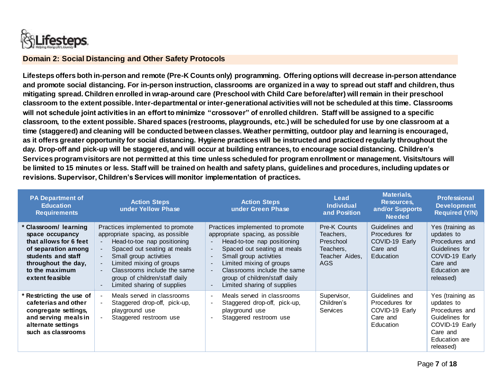

#### **Domain 2: Social Distancing and Other Safety Protocols**

**Lifesteps offers both in-person and remote (Pre-K Counts only) programming. Offering options will decrease in-person attendance and promote social distancing. For in-person instruction, classrooms are organized in a way to spread out staff and children, thus mitigating spread. Children enrolled in wrap-around care (Preschool with Child Care before/after) will remain in their preschool classroom to the extent possible. Inter-departmental or inter-generational activities will not be scheduled at this time. Classrooms will not schedule joint activities in an effort to minimize "crossover" of enrolled children. Staff will be assigned to a specific classroom, to the extent possible. Shared spaces (restrooms, playgrounds, etc.) will be scheduled for use by one classroom at a time (staggered) and cleaning will be conducted between classes. Weather permitting, outdoor play and learning is encouraged, as it offers greater opportunity for social distancing. Hygiene practices will be instructed and practiced regularly throughout the day. Drop-off and pick-up will be staggered, and will occur at building entrances, to encourage social distancing. Children's Services program visitors are not permitted at this time unless scheduled for program enrollment or management. Visits/tours will be limited to 15 minutes or less. Staff will be trained on health and safety plans, guidelines and procedures, including updates or revisions. Supervisor, Children's Services will monitor implementation of practices.**

| <b>PA Department of</b><br><b>Education</b><br><b>Requirements</b>                                                                                                          | <b>Action Steps</b><br>under Yellow Phase                                                                                                                                                                                                                                                                                                                                           | <b>Action Steps</b><br>under Green Phase                                                                                                                                                                                                                                                                  | Lead<br><b>Individual</b><br>and Position                                           | <b>Materials,</b><br>Resources,<br>and/or Supports<br><b>Needed</b>         | <b>Professional</b><br><b>Development</b><br><b>Required (Y/N)</b>                                                             |
|-----------------------------------------------------------------------------------------------------------------------------------------------------------------------------|-------------------------------------------------------------------------------------------------------------------------------------------------------------------------------------------------------------------------------------------------------------------------------------------------------------------------------------------------------------------------------------|-----------------------------------------------------------------------------------------------------------------------------------------------------------------------------------------------------------------------------------------------------------------------------------------------------------|-------------------------------------------------------------------------------------|-----------------------------------------------------------------------------|--------------------------------------------------------------------------------------------------------------------------------|
| * Classroom/ learning<br>space occupancy<br>that allows for 6 feet<br>of separation among<br>students and staff<br>throughout the day,<br>to the maximum<br>extent feasible | Practices implemented to promote<br>appropriate spacing, as possible<br>Head-to-toe nap positioning<br>Spaced out seating at meals<br>$\blacksquare$<br>Small group activities<br>$\blacksquare$<br>Limited mixing of groups<br>$\sim$<br>Classrooms include the same<br>$\blacksquare$<br>group of children/staff daily<br>Limited sharing of supplies<br>$\overline{\phantom{a}}$ | Practices implemented to promote<br>appropriate spacing, as possible<br>Head-to-toe nap positioning<br>Spaced out seating at meals<br>Small group activities<br>Limited mixing of groups<br>Classrooms include the same<br>group of children/staff daily<br>Limited sharing of supplies<br>$\blacksquare$ | Pre-K Counts<br>Teachers,<br>Preschool<br>Teachers,<br>Teacher Aides.<br><b>AGS</b> | Guidelines and<br>Procedures for<br>COVID-19 Early<br>Care and<br>Education | Yes (training as<br>updates to<br>Procedures and<br>Guidelines for<br>COVID-19 Early<br>Care and<br>Education are<br>released) |
| * Restricting the use of<br>cafeterias and other<br>congregate settings,<br>and serving meals in<br>alternate settings<br>such as classrooms                                | Meals served in classrooms<br>Staggered drop-off, pick-up,<br>playground use<br>Staggered restroom use                                                                                                                                                                                                                                                                              | Meals served in classrooms<br>Staggered drop-off, pick-up,<br>playground use<br>Staggered restroom use                                                                                                                                                                                                    | Supervisor,<br>Children's<br><b>Services</b>                                        | Guidelines and<br>Procedures for<br>COVID-19 Early<br>Care and<br>Education | Yes (training as<br>updates to<br>Procedures and<br>Guidelines for<br>COVID-19 Early<br>Care and<br>Education are<br>released) |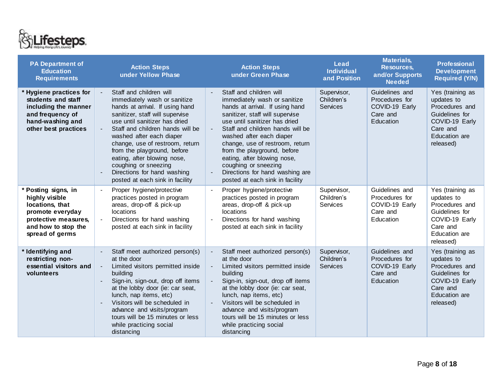

| <b>PA Department of</b><br><b>Education</b><br><b>Requirements</b>                                                                             | <b>Action Steps</b><br>under Yellow Phase                                                                                                                                                                                                                                                                                                                                                                                 | <b>Action Steps</b><br>under Green Phase                                                                                                                                                                                                                                                                                                                                                                                                                  | <b>Lead</b><br><b>Individual</b><br>and Position | <b>Materials,</b><br><b>Resources,</b><br>and/or Supports<br><b>Needed</b>  | Professional<br><b>Development</b><br><b>Required (Y/N)</b>                                                                           |
|------------------------------------------------------------------------------------------------------------------------------------------------|---------------------------------------------------------------------------------------------------------------------------------------------------------------------------------------------------------------------------------------------------------------------------------------------------------------------------------------------------------------------------------------------------------------------------|-----------------------------------------------------------------------------------------------------------------------------------------------------------------------------------------------------------------------------------------------------------------------------------------------------------------------------------------------------------------------------------------------------------------------------------------------------------|--------------------------------------------------|-----------------------------------------------------------------------------|---------------------------------------------------------------------------------------------------------------------------------------|
| * Hygiene practices for<br>students and staff<br>including the manner<br>and frequency of<br>hand-washing and<br>other best practices          | Staff and children will<br>immediately wash or sanitize<br>hands at arrival. If using hand<br>sanitizer, staff will supervise<br>use until sanitizer has dried<br>Staff and children hands will be<br>washed after each diaper<br>change, use of restroom, return<br>from the playground, before<br>eating, after blowing nose,<br>coughing or sneezing<br>Directions for hand washing<br>posted at each sink in facility | Staff and children will<br>$\blacksquare$<br>immediately wash or sanitize<br>hands at arrival. If using hand<br>sanitizer, staff will supervise<br>use until sanitizer has dried<br>Staff and children hands will be<br>$\sim$<br>washed after each diaper<br>change, use of restroom, return<br>from the playground, before<br>eating, after blowing nose,<br>coughing or sneezing<br>Directions for hand washing are<br>posted at each sink in facility | Supervisor,<br>Children's<br><b>Services</b>     | Guidelines and<br>Procedures for<br>COVID-19 Early<br>Care and<br>Education | Yes (training as<br>updates to<br>Procedures and<br>Guidelines for<br>COVID-19 Early<br>Care and<br><b>Education</b> are<br>released) |
| * Posting signs, in<br>highly visible<br>locations, that<br>promote everyday<br>protective measures,<br>and how to stop the<br>spread of germs | Proper hygiene/protective<br>$\blacksquare$<br>practices posted in program<br>areas, drop-off & pick-up<br>locations<br>Directions for hand washing<br>posted at each sink in facility                                                                                                                                                                                                                                    | Proper hygiene/protective<br>practices posted in program<br>areas, drop-off & pick-up<br>locations<br>Directions for hand washing<br>$\overline{\phantom{a}}$<br>posted at each sink in facility                                                                                                                                                                                                                                                          | Supervisor,<br>Children's<br><b>Services</b>     | Guidelines and<br>Procedures for<br>COVID-19 Early<br>Care and<br>Education | Yes (training as<br>updates to<br>Procedures and<br>Guidelines for<br>COVID-19 Early<br>Care and<br>Education are<br>released)        |
| * Identifying and<br>restricting non-<br>essential visitors and<br>volunteers                                                                  | Staff meet authorized person(s)<br>at the door<br>Limited visitors permitted inside<br>$\blacksquare$<br>building<br>Sign-in, sign-out, drop off items<br>at the lobby door (ie: car seat,<br>lunch, nap items, etc)<br>Visitors will be scheduled in<br>advance and visits/program<br>tours will be 15 minutes or less<br>while practicing social<br>distancing                                                          | Staff meet authorized person(s)<br>at the door<br>Limited visitors permitted inside<br>building<br>Sign-in, sign-out, drop off items<br>at the lobby door (ie: car seat,<br>lunch, nap items, etc)<br>Visitors will be scheduled in<br>$\mathbf{r}$<br>advance and visits/program<br>tours will be 15 minutes or less<br>while practicing social<br>distancing                                                                                            | Supervisor,<br>Children's<br><b>Services</b>     | Guidelines and<br>Procedures for<br>COVID-19 Early<br>Care and<br>Education | Yes (training as<br>updates to<br>Procedures and<br>Guidelines for<br>COVID-19 Early<br>Care and<br><b>Education</b> are<br>released) |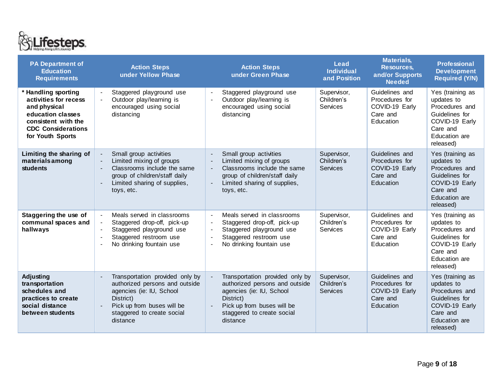

| <b>PA Department of</b><br><b>Education</b><br><b>Requirements</b>                                                                                        | <b>Action Steps</b><br>under Yellow Phase                                                                                                                                                | <b>Action Steps</b><br>under Green Phase                                                                                                                                                             | Lead<br><b>Individual</b><br>and Position    | <b>Materials,</b><br><b>Resources,</b><br>and/or Supports<br><b>Needed</b>  | <b>Professional</b><br><b>Development</b><br><b>Required (Y/N)</b>                                                             |
|-----------------------------------------------------------------------------------------------------------------------------------------------------------|------------------------------------------------------------------------------------------------------------------------------------------------------------------------------------------|------------------------------------------------------------------------------------------------------------------------------------------------------------------------------------------------------|----------------------------------------------|-----------------------------------------------------------------------------|--------------------------------------------------------------------------------------------------------------------------------|
| * Handling sporting<br>activities for recess<br>and physical<br>education classes<br>consistent with the<br><b>CDC Considerations</b><br>for Youth Sports | Staggered playground use<br>Outdoor play/learning is<br>encouraged using social<br>distancing                                                                                            | Staggered playground use<br>$\blacksquare$<br>Outdoor play/learning is<br>encouraged using social<br>distancing                                                                                      | Supervisor,<br>Children's<br>Services        | Guidelines and<br>Procedures for<br>COVID-19 Early<br>Care and<br>Education | Yes (training as<br>updates to<br>Procedures and<br>Guidelines for<br>COVID-19 Early<br>Care and<br>Education are<br>released) |
| Limiting the sharing of<br>materialsamong<br>students                                                                                                     | Small group activities<br>Limited mixing of groups<br>Classrooms include the same<br>$\blacksquare$<br>group of children/staff daily<br>Limited sharing of supplies,<br>÷,<br>toys, etc. | Small group activities<br>Limited mixing of groups<br>Classrooms include the same<br>$\blacksquare$<br>group of children/staff daily<br>Limited sharing of supplies,<br>$\blacksquare$<br>toys, etc. | Supervisor,<br>Children's<br><b>Services</b> | Guidelines and<br>Procedures for<br>COVID-19 Early<br>Care and<br>Education | Yes (training as<br>updates to<br>Procedures and<br>Guidelines for<br>COVID-19 Early<br>Care and<br>Education are<br>released) |
| Staggering the use of<br>communal spaces and<br>hallways                                                                                                  | Meals served in classrooms<br>$\blacksquare$<br>Staggered drop-off, pick-up<br>Staggered playground use<br>Staggered restroom use<br>No drinking fountain use                            | Meals served in classrooms<br>$\overline{\phantom{a}}$<br>Staggered drop-off, pick-up<br>Staggered playground use<br>Staggered restroom use<br>No drinking fountain use                              | Supervisor,<br>Children's<br>Services        | Guidelines and<br>Procedures for<br>COVID-19 Early<br>Care and<br>Education | Yes (training as<br>updates to<br>Procedures and<br>Guidelines for<br>COVID-19 Early<br>Care and<br>Education are<br>released) |
| Adjusting<br>transportation<br>schedules and<br>practices to create<br>social distance<br>between students                                                | Transportation provided only by<br>authorized persons and outside<br>agencies (ie: IU, School<br>District)<br>Pick up from buses will be<br>staggered to create social<br>distance       | Transportation provided only by<br>authorized persons and outside<br>agencies (ie: IU, School<br>District)<br>Pick up from buses will be<br>staggered to create social<br>distance                   | Supervisor,<br>Children's<br><b>Services</b> | Guidelines and<br>Procedures for<br>COVID-19 Early<br>Care and<br>Education | Yes (training as<br>updates to<br>Procedures and<br>Guidelines for<br>COVID-19 Early<br>Care and<br>Education are<br>released) |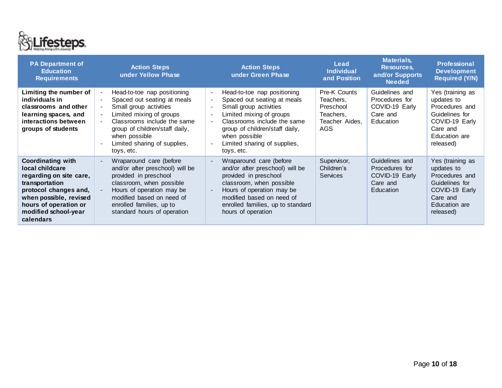

<span id="page-9-0"></span>

| <b>PA Department of</b><br><b>Education</b><br><b>Requirements</b>                                                                                                                                        | <b>Action Steps</b><br>under Yellow Phase                                                                                                                                                                                                                                                        | <b>Action Steps</b><br>under Green Phase                                                                                                                                                                                                                                                       | Lead<br><b>Individual</b><br>and Position                                     | <b>Materials,</b><br>Resources,<br>and/or Supports<br><b>Needed</b>         | <b>Professional</b><br><b>Development</b><br><b>Required (Y/N)</b>                                                             |
|-----------------------------------------------------------------------------------------------------------------------------------------------------------------------------------------------------------|--------------------------------------------------------------------------------------------------------------------------------------------------------------------------------------------------------------------------------------------------------------------------------------------------|------------------------------------------------------------------------------------------------------------------------------------------------------------------------------------------------------------------------------------------------------------------------------------------------|-------------------------------------------------------------------------------|-----------------------------------------------------------------------------|--------------------------------------------------------------------------------------------------------------------------------|
| Limiting the number of<br>individuals in<br>classrooms and other<br>learning spaces, and<br>interactions between<br>groups of students                                                                    | Head-to-toe nap positioning<br>$\blacksquare$<br>Spaced out seating at meals<br>Small group activities<br>$\sim$<br>Limited mixing of groups<br>$\sim$<br>Classrooms include the same<br>$\sim$<br>group of children/staff daily,<br>when possible<br>Limited sharing of supplies,<br>toys, etc. | Head-to-toe nap positioning<br>$\sim$<br>Spaced out seating at meals<br>$\blacksquare$<br>Small group activities<br>Limited mixing of groups<br>$\blacksquare$<br>Classrooms include the same<br>group of children/staff daily,<br>when possible<br>Limited sharing of supplies,<br>toys, etc. | Pre-K Counts<br>Teachers,<br>Preschool<br>Teachers,<br>Teacher Aides.<br>AGS. | Guidelines and<br>Procedures for<br>COVID-19 Early<br>Care and<br>Education | Yes (training as<br>updates to<br>Procedures and<br>Guidelines for<br>COVID-19 Early<br>Care and<br>Education are<br>released) |
| <b>Coordinating with</b><br>local childcare<br>regarding on site care,<br>transportation<br>protocol changes and,<br>when possible, revised<br>hours of operation or<br>modified school-year<br>calendars | Wraparound care (before<br>$\blacksquare$<br>and/or after preschool) will be<br>provided in preschool<br>classroom, when possible<br>Hours of operation may be<br>modified based on need of<br>enrolled families, up to<br>standard hours of operation                                           | Wraparound care (before<br>and/or after preschool) will be<br>provided in preschool<br>classroom, when possible<br>Hours of operation may be<br>modified based on need of<br>enrolled families, up to standard<br>hours of operation                                                           | Supervisor,<br>Children's<br><b>Services</b>                                  | Guidelines and<br>Procedures for<br>COVID-19 Early<br>Care and<br>Education | Yes (training as<br>updates to<br>Procedures and<br>Guidelines for<br>COVID-19 Early<br>Care and<br>Education are<br>released) |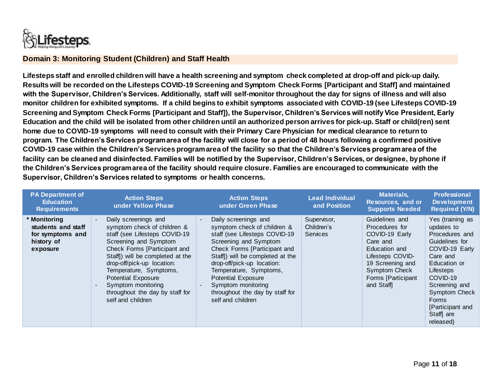

#### **Domain 3: Monitoring Student (Children) and Staff Health**

**Lifesteps staff and enrolled children will have a health screening and symptom check completed at drop-off and pick-up daily. Results will be recorded on the Lifesteps COVID-19 Screening and Symptom Check Forms [Participant and Staff] and maintained with the Supervisor, Children's Services. Additionally, staff will self-monitor throughout the day for signs of illness and will also monitor children for exhibited symptoms. If a child begins to exhibit symptoms associated with COVID-19 (see Lifesteps COVID-19 Screening and Symptom Check Forms [Participant and Staff]), the Supervisor, Children's Services will notify Vice President, Early Education and the child will be isolated from other children until an authorized person arrives for pick-up. Staff or child(ren) sent home due to COVID-19 symptoms will need to consult with their Primary Care Physician for medical clearance to return to program. The Children's Services program area of the facility will close for a period of 48 hours following a confirmed positive COVID-19 case within the Children's Services program area of the facility so that the Children's Services program area of the facility can be cleaned and disinfected. Families will be notified by the Supervisor, Children's Services, or designee, by phone if the Children's Services program area of the facility should require closure. Families are encouraged to communicate with the Supervisor, Children's Services related to symptoms or health concerns.** 

| <b>PA Department of</b><br><b>Education</b><br><b>Requirements</b>               | <b>Action Steps</b><br>under Yellow Phase                                                                                                                                                                                                                                                                                                                      | <b>Action Steps</b><br>under Green Phase                                                                                                                                                                                                                                                                                                                              | <b>Lead Individual</b><br>and Position       | <b>Materials,</b><br>Resources, and or<br><b>Supports Needed</b>                                                                                                            | <b>Professional</b><br><b>Development</b><br><b>Required (Y/N)</b>                                                                                                                                                                               |
|----------------------------------------------------------------------------------|----------------------------------------------------------------------------------------------------------------------------------------------------------------------------------------------------------------------------------------------------------------------------------------------------------------------------------------------------------------|-----------------------------------------------------------------------------------------------------------------------------------------------------------------------------------------------------------------------------------------------------------------------------------------------------------------------------------------------------------------------|----------------------------------------------|-----------------------------------------------------------------------------------------------------------------------------------------------------------------------------|--------------------------------------------------------------------------------------------------------------------------------------------------------------------------------------------------------------------------------------------------|
| * Monitoring<br>students and staff<br>for symptoms and<br>history of<br>exposure | Daily screenings and<br>$\blacksquare$<br>symptom check of children &<br>staff (see Lifesteps COVID-19<br>Screening and Symptom<br>Check Forms [Participant and<br>Staff) will be completed at the<br>drop-off/pick-up location:<br>Temperature, Symptoms,<br>Potential Exposure<br>Symptom monitoring<br>throughout the day by staff for<br>self and children | Daily screenings and<br>$\blacksquare$<br>symptom check of children &<br>staff (see Lifesteps COVID-19<br>Screening and Symptom<br>Check Forms [Participant and<br>Staff) will be completed at the<br>drop-off/pick-up location:<br>Temperature, Symptoms,<br><b>Potential Exposure</b><br>Symptom monitoring<br>throughout the day by staff for<br>self and children | Supervisor,<br>Children's<br><b>Services</b> | Guidelines and<br>Procedures for<br>COVID-19 Early<br>Care and<br>Education and<br>Lifesteps COVID-<br>19 Screening and<br>Symptom Check<br>Forms [Participant<br>and Staff | Yes (training as<br>updates to<br>Procedures and<br>Guidelines for<br>COVID-19 Early<br>Care and<br>Education or<br>Lifesteps<br>COVID-19<br>Screening and<br><b>Symptom Check</b><br><b>Forms</b><br>[Participant and<br>Staff are<br>released) |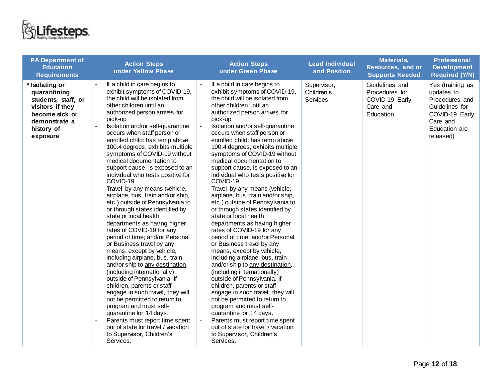

| <b>PA Department of</b><br><b>Education</b><br><b>Requirements</b>                                                                     | <b>Action Steps</b><br>under Yellow Phase                                                                                                                                                                                                                                                                                                                                                                                                                                                                                                                                                                                                                                                                                                                                                                                                                                                                                                                                                                                                                                                                                                                                                                                                           | <b>Action Steps</b><br>under Green Phase                                                                                                                                                                                                                                                                                                                                                                                                                                                                                                                                                                                                                                                                                                                                                                                                                                                                                                                                                                                                                                                                                                                                                                      | <b>Lead Individual</b><br>and Position | <b>Materials,</b><br>Resources, and or<br><b>Supports Needed</b>            | <b>Professional</b><br><b>Development</b><br><b>Required (Y/N)</b>                                                             |
|----------------------------------------------------------------------------------------------------------------------------------------|-----------------------------------------------------------------------------------------------------------------------------------------------------------------------------------------------------------------------------------------------------------------------------------------------------------------------------------------------------------------------------------------------------------------------------------------------------------------------------------------------------------------------------------------------------------------------------------------------------------------------------------------------------------------------------------------------------------------------------------------------------------------------------------------------------------------------------------------------------------------------------------------------------------------------------------------------------------------------------------------------------------------------------------------------------------------------------------------------------------------------------------------------------------------------------------------------------------------------------------------------------|---------------------------------------------------------------------------------------------------------------------------------------------------------------------------------------------------------------------------------------------------------------------------------------------------------------------------------------------------------------------------------------------------------------------------------------------------------------------------------------------------------------------------------------------------------------------------------------------------------------------------------------------------------------------------------------------------------------------------------------------------------------------------------------------------------------------------------------------------------------------------------------------------------------------------------------------------------------------------------------------------------------------------------------------------------------------------------------------------------------------------------------------------------------------------------------------------------------|----------------------------------------|-----------------------------------------------------------------------------|--------------------------------------------------------------------------------------------------------------------------------|
| * Isolating or<br>quarantining<br>students, staff, or<br>visitors if they<br>become sick or<br>demonstrate a<br>history of<br>exposure | If a child in care begins to<br>exhibit symptoms of COVID-19,<br>the child will be isolated from<br>other children until an<br>authorized person arrives for<br>pick-up<br>Isolation and/or self-quarantine<br>occurs when staff person or<br>enrolled child: has temp above<br>100.4 degrees, exhibits multiple<br>symptoms of COVID-19 without<br>medical documentation to<br>support cause, is exposed to an<br>individual who tests positive for<br>COVID-19<br>Travel by any means (vehicle,<br>$\sim$<br>airplane, bus, train and/or ship,<br>etc.) outside of Pennsylvania to<br>or through states identified by<br>state or local health<br>departments as having higher<br>rates of COVID-19 for any<br>period of time; and/or Personal<br>or Business travel by any<br>means, except by vehicle,<br>including airplane, bus, train<br>and/or ship to any destination,<br>(including internationally)<br>outside of Pennsylvania. If<br>children, parents or staff<br>engage in such travel, they will<br>not be permitted to return to<br>program and must self-<br>quarantine for 14 days.<br>Parents must report time spent<br>$\overline{\phantom{a}}$<br>out of state for travel / vacation<br>to Supervisor, Children's<br>Services. | If a child in care begins to<br>exhibit symptoms of COVID-19,<br>the child will be isolated from<br>other children until an<br>authorized person arrives for<br>pick-up<br>Isolation and/or self-quarantine<br>occurs when staff person or<br>enrolled child: has temp above<br>100.4 degrees, exhibits multiple<br>symptoms of COVID-19 without<br>medical documentation to<br>support cause, is exposed to an<br>individual who tests positive for<br>COVID-19<br>Travel by any means (vehicle,<br>airplane, bus, train and/or ship,<br>etc.) outside of Pennsylvania to<br>or through states identified by<br>state or local health<br>departments as having higher<br>rates of COVID-19 for any<br>period of time; and/or Personal<br>or Business travel by any<br>means, except by vehicle,<br>including airplane, bus, train<br>and/or ship to any destination,<br>(including internationally)<br>outside of Pennsylvania. If<br>children, parents or staff<br>engage in such travel, they will<br>not be permitted to return to<br>program and must self-<br>quarantine for 14 days.<br>Parents must report time spent<br>out of state for travel / vacation<br>to Supervisor, Children's<br>Services. | Supervisor,<br>Children's<br>Services  | Guidelines and<br>Procedures for<br>COVID-19 Early<br>Care and<br>Education | Yes (training as<br>updates to<br>Procedures and<br>Guidelines for<br>COVID-19 Early<br>Care and<br>Education are<br>released) |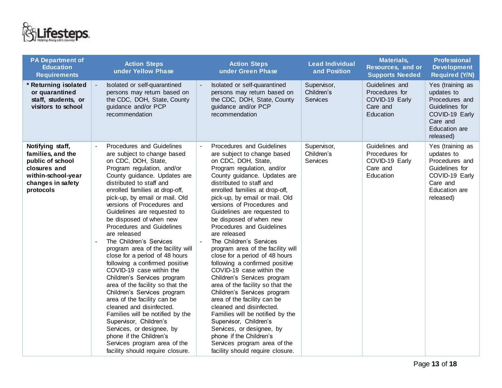

| <b>PA Department of</b><br><b>Education</b><br><b>Requirements</b>                                                                | <b>Action Steps</b><br>under Yellow Phase                                                                                                                                                                                                                                                                                                                                                                                                                                                                                                                                                                                                                                                                                                                                                                                                                                                                 | <b>Action Steps</b><br>under Green Phase                                                                                                                                                                                                                                                                                                                                                                                                                                                                                                                                                                                                                                                                                                                                                                                                                                                                                    | <b>Lead Individual</b><br>and Position       | <b>Materials,</b><br>Resources, and or<br><b>Supports Needed</b>            | <b>Professional</b><br><b>Development</b><br><b>Required (Y/N)</b>                                                             |
|-----------------------------------------------------------------------------------------------------------------------------------|-----------------------------------------------------------------------------------------------------------------------------------------------------------------------------------------------------------------------------------------------------------------------------------------------------------------------------------------------------------------------------------------------------------------------------------------------------------------------------------------------------------------------------------------------------------------------------------------------------------------------------------------------------------------------------------------------------------------------------------------------------------------------------------------------------------------------------------------------------------------------------------------------------------|-----------------------------------------------------------------------------------------------------------------------------------------------------------------------------------------------------------------------------------------------------------------------------------------------------------------------------------------------------------------------------------------------------------------------------------------------------------------------------------------------------------------------------------------------------------------------------------------------------------------------------------------------------------------------------------------------------------------------------------------------------------------------------------------------------------------------------------------------------------------------------------------------------------------------------|----------------------------------------------|-----------------------------------------------------------------------------|--------------------------------------------------------------------------------------------------------------------------------|
| * Returning isolated<br>or quarantined<br>staff, students, or<br>visitors to school                                               | Isolated or self-quarantined<br>persons may return based on<br>the CDC, DOH, State, County<br>guidance and/or PCP<br>recommendation                                                                                                                                                                                                                                                                                                                                                                                                                                                                                                                                                                                                                                                                                                                                                                       | Isolated or self-quarantined<br>persons may return based on<br>the CDC, DOH, State, County<br>guidance and/or PCP<br>recommendation                                                                                                                                                                                                                                                                                                                                                                                                                                                                                                                                                                                                                                                                                                                                                                                         | Supervisor,<br>Children's<br><b>Services</b> | Guidelines and<br>Procedures for<br>COVID-19 Early<br>Care and<br>Education | Yes (training as<br>updates to<br>Procedures and<br>Guidelines for<br>COVID-19 Early<br>Care and<br>Education are<br>released) |
| Notifying staff,<br>families, and the<br>public of school<br>closures and<br>within-school-year<br>changes in safety<br>protocols | Procedures and Guidelines<br>are subject to change based<br>on CDC, DOH, State,<br>Program regulation, and/or<br>County guidance. Updates are<br>distributed to staff and<br>enrolled families at drop-off,<br>pick-up, by email or mail. Old<br>versions of Procedures and<br>Guidelines are requested to<br>be disposed of when new<br>Procedures and Guidelines<br>are released<br>The Children's Services<br>program area of the facility will<br>close for a period of 48 hours<br>following a confirmed positive<br>COVID-19 case within the<br>Children's Services program<br>area of the facility so that the<br>Children's Services program<br>area of the facility can be<br>cleaned and disinfected.<br>Families will be notified by the<br>Supervisor, Children's<br>Services, or designee, by<br>phone if the Children's<br>Services program area of the<br>facility should require closure. | Procedures and Guidelines<br>are subject to change based<br>on CDC, DOH, State,<br>Program regulation, and/or<br>County guidance. Updates are<br>distributed to staff and<br>enrolled families at drop-off,<br>pick-up, by email or mail. Old<br>versions of Procedures and<br>Guidelines are requested to<br>be disposed of when new<br>Procedures and Guidelines<br>are released<br>The Children's Services<br>$\blacksquare$<br>program area of the facility will<br>close for a period of 48 hours<br>following a confirmed positive<br>COVID-19 case within the<br>Children's Services program<br>area of the facility so that the<br>Children's Services program<br>area of the facility can be<br>cleaned and disinfected.<br>Families will be notified by the<br>Supervisor, Children's<br>Services, or designee, by<br>phone if the Children's<br>Services program area of the<br>facility should require closure. | Supervisor,<br>Children's<br>Services        | Guidelines and<br>Procedures for<br>COVID-19 Early<br>Care and<br>Education | Yes (training as<br>updates to<br>Procedures and<br>Guidelines for<br>COVID-19 Early<br>Care and<br>Education are<br>released) |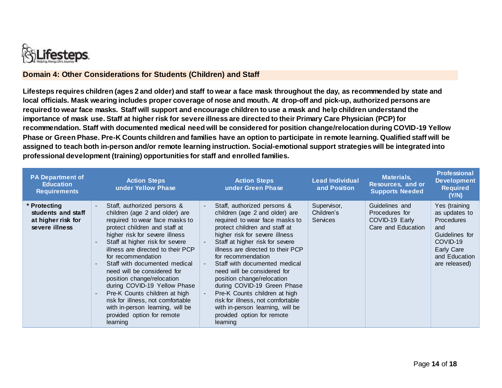

### **Domain 4: Other Considerations for Students (Children) and Staff**

**Lifesteps requires children (ages 2 and older) and staff to wear a face mask throughout the day, as recommended by state and local officials. Mask wearing includes proper coverage of nose and mouth. At drop-off and pick-up, authorized persons are required to wear face masks. Staff will support and encourage children to use a mask and help children understand the importance of mask use. Staff at higher risk for severe illness are directed to their Primary Care Physician (PCP) for recommendation. Staff with documented medical need will be considered for position change/relocation during COVID-19 Yellow Phase or Green Phase. Pre-K Counts children and families have an option to participate in remote learning. Qualified staff will be assigned to teach both in-person and/or remote learning instruction. Social-emotional support strategies will be integrated into professional development (training) opportunities for staff and enrolled families.** 

<span id="page-13-0"></span>

| <b>PA Department of</b><br><b>Education</b><br><b>Requirements</b>         | <b>Action Steps</b><br>under Yellow Phase                                                                                                                                                                                                                                                                                                                                                                                                                                                                                                          | <b>Action Steps</b><br>under Green Phase                                                                                                                                                                                                                                                                                                                                                                                                                                                                                                          | <b>Lead Individual</b><br>and Position       | <b>Materials,</b><br>Resources, and or<br><b>Supports Needed</b>         | <b>Professional</b><br><b>Development</b><br><b>Required</b><br>(Y/N)                                                                    |
|----------------------------------------------------------------------------|----------------------------------------------------------------------------------------------------------------------------------------------------------------------------------------------------------------------------------------------------------------------------------------------------------------------------------------------------------------------------------------------------------------------------------------------------------------------------------------------------------------------------------------------------|---------------------------------------------------------------------------------------------------------------------------------------------------------------------------------------------------------------------------------------------------------------------------------------------------------------------------------------------------------------------------------------------------------------------------------------------------------------------------------------------------------------------------------------------------|----------------------------------------------|--------------------------------------------------------------------------|------------------------------------------------------------------------------------------------------------------------------------------|
| * Protecting<br>students and staff<br>at higher risk for<br>severe illness | Staff, authorized persons &<br>children (age 2 and older) are<br>required to wear face masks to<br>protect children and staff at<br>higher risk for severe illness<br>Staff at higher risk for severe<br>illness are directed to their PCP<br>for recommendation<br>Staff with documented medical<br>need will be considered for<br>position change/relocation<br>during COVID-19 Yellow Phase<br>Pre-K Counts children at high<br>risk for illness, not comfortable<br>with in-person learning, will be<br>provided option for remote<br>learning | Staff, authorized persons &<br>children (age 2 and older) are<br>required to wear face masks to<br>protect children and staff at<br>higher risk for severe illness<br>Staff at higher risk for severe<br>illness are directed to their PCP<br>for recommendation<br>Staff with documented medical<br>need will be considered for<br>position change/relocation<br>during COVID-19 Green Phase<br>Pre-K Counts children at high<br>risk for illness, not comfortable<br>with in-person learning, will be<br>provided option for remote<br>learning | Supervisor,<br>Children's<br><b>Services</b> | Guidelines and<br>Procedures for<br>COVID-19 Early<br>Care and Education | Yes (training<br>as updates to<br><b>Procedures</b><br>and<br>Guidelines for<br>COVID-19<br>Early Care<br>and Education<br>are released) |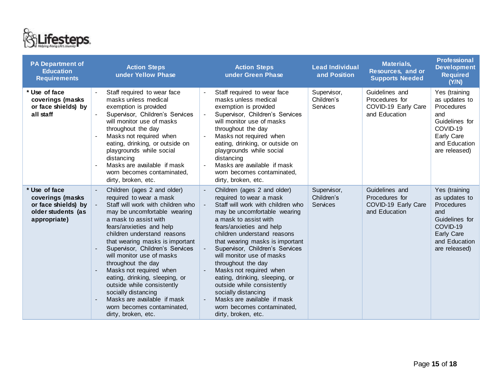

| <b>PA Department of</b><br><b>Education</b><br><b>Requirements</b>                             | <b>Action Steps</b><br>under Yellow Phase                                                                                                                                                                                                                                                                                                                                                                                                                                                                                                      | <b>Action Steps</b><br>under Green Phase                                                                                                                                                                                                                                                                                                                                                                                                                                                                                                       | <b>Lead Individual</b><br>and Position       | <b>Materials,</b><br>Resources, and or<br><b>Supports Needed</b>         | <b>Professional</b><br><b>Development</b><br><b>Required</b><br>(Y/N)                                                                           |
|------------------------------------------------------------------------------------------------|------------------------------------------------------------------------------------------------------------------------------------------------------------------------------------------------------------------------------------------------------------------------------------------------------------------------------------------------------------------------------------------------------------------------------------------------------------------------------------------------------------------------------------------------|------------------------------------------------------------------------------------------------------------------------------------------------------------------------------------------------------------------------------------------------------------------------------------------------------------------------------------------------------------------------------------------------------------------------------------------------------------------------------------------------------------------------------------------------|----------------------------------------------|--------------------------------------------------------------------------|-------------------------------------------------------------------------------------------------------------------------------------------------|
| * Use of face<br>coverings (masks<br>or face shields) by<br>all staff                          | Staff required to wear face<br>masks unless medical<br>exemption is provided<br>Supervisor, Children's Services<br>will monitor use of masks<br>throughout the day<br>Masks not required when<br>eating, drinking, or outside on<br>playgrounds while social<br>distancing<br>Masks are available if mask<br>worn becomes contaminated,<br>dirty, broken, etc.                                                                                                                                                                                 | Staff required to wear face<br>$\blacksquare$<br>masks unless medical<br>exemption is provided<br>Supervisor, Children's Services<br>will monitor use of masks<br>throughout the day<br>Masks not required when<br>eating, drinking, or outside on<br>playgrounds while social<br>distancing<br>Masks are available if mask<br>worn becomes contaminated,<br>dirty, broken, etc.                                                                                                                                                               | Supervisor,<br>Children's<br>Services        | Guidelines and<br>Procedures for<br>COVID-19 Early Care<br>and Education | Yes (training<br>as updates to<br>Procedures<br>and<br>Guidelines for<br>COVID-19<br>Early Care<br>and Education<br>are released)               |
| * Use of face<br>coverings (masks<br>or face shields) by<br>older students (as<br>appropriate) | Children (ages 2 and older)<br>required to wear a mask<br>Staff will work with children who<br>may be uncomfortable wearing<br>a mask to assist with<br>fears/anxieties and help<br>children understand reasons<br>that wearing masks is important<br>Supervisor, Children's Services<br>will monitor use of masks<br>throughout the day<br>Masks not required when<br>eating, drinking, sleeping, or<br>outside while consistently<br>socially distancing<br>Masks are available if mask<br>worn becomes contaminated,<br>dirty, broken, etc. | Children (ages 2 and older)<br>required to wear a mask<br>Staff will work with children who<br>may be uncomfortable wearing<br>a mask to assist with<br>fears/anxieties and help<br>children understand reasons<br>that wearing masks is important<br>Supervisor, Children's Services<br>will monitor use of masks<br>throughout the day<br>Masks not required when<br>eating, drinking, sleeping, or<br>outside while consistently<br>socially distancing<br>Masks are available if mask<br>worn becomes contaminated,<br>dirty, broken, etc. | Supervisor,<br>Children's<br><b>Services</b> | Guidelines and<br>Procedures for<br>COVID-19 Early Care<br>and Education | Yes (training<br>as updates to<br><b>Procedures</b><br>and<br>Guidelines for<br>COVID-19<br><b>Early Care</b><br>and Education<br>are released) |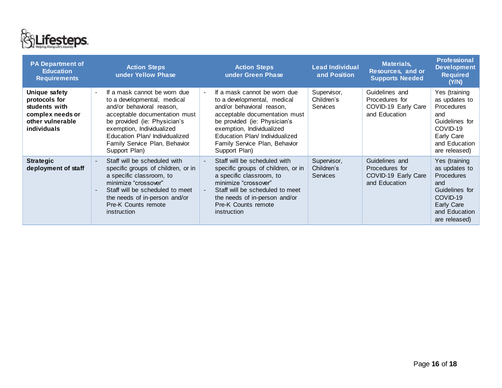

| <b>PA Department of</b><br><b>Education</b><br><b>Requirements</b>                                            | <b>Action Steps</b><br>under Yellow Phase                                                                                                                                                                                                                                                   | <b>Action Steps</b><br>under Green Phase                                                                                                                                                                                                                                             | <b>Lead Individual</b><br>and Position       | <b>Materials,</b><br>Resources, and or<br><b>Supports Needed</b>         | <b>Professional</b><br><b>Development</b><br><b>Required</b><br>(Y/N)                                                                           |
|---------------------------------------------------------------------------------------------------------------|---------------------------------------------------------------------------------------------------------------------------------------------------------------------------------------------------------------------------------------------------------------------------------------------|--------------------------------------------------------------------------------------------------------------------------------------------------------------------------------------------------------------------------------------------------------------------------------------|----------------------------------------------|--------------------------------------------------------------------------|-------------------------------------------------------------------------------------------------------------------------------------------------|
| Unique safety<br>protocols for<br>students with<br>complex needs or<br>other vulnerable<br><i>individuals</i> | If a mask cannot be worn due<br>$\blacksquare$<br>to a developmental, medical<br>and/or behavioral reason,<br>acceptable documentation must<br>be provided (ie: Physician's<br>exemption, Individualized<br>Education Plan/Individualized<br>Family Service Plan, Behavior<br>Support Plan) | If a mask cannot be worn due<br>$\sim$<br>to a developmental, medical<br>and/or behavioral reason,<br>acceptable documentation must<br>be provided (ie: Physician's<br>exemption, Individualized<br>Education Plan/ Individualized<br>Family Service Plan, Behavior<br>Support Plan) | Supervisor,<br>Children's<br><b>Services</b> | Guidelines and<br>Procedures for<br>COVID-19 Early Care<br>and Education | Yes (training<br>as updates to<br><b>Procedures</b><br>and<br>Guidelines for<br>COVID-19<br>Early Care<br>and Education<br>are released)        |
| <b>Strategic</b><br>deployment of staff                                                                       | Staff will be scheduled with<br>specific groups of children, or in<br>a specific classroom, to<br>minimize "crossover"<br>Staff will be scheduled to meet<br>the needs of in-person and/or<br>Pre-K Counts remote<br>instruction                                                            | Staff will be scheduled with<br>specific groups of children, or in<br>a specific classroom, to<br>minimize "crossover"<br>Staff will be scheduled to meet<br>$\sim$<br>the needs of in-person and/or<br>Pre-K Counts remote<br>instruction                                           | Supervisor,<br>Children's<br><b>Services</b> | Guidelines and<br>Procedures for<br>COVID-19 Early Care<br>and Education | Yes (training<br>as updates to<br><b>Procedures</b><br>and<br>Guidelines for<br>COVID-19<br><b>Early Care</b><br>and Education<br>are released) |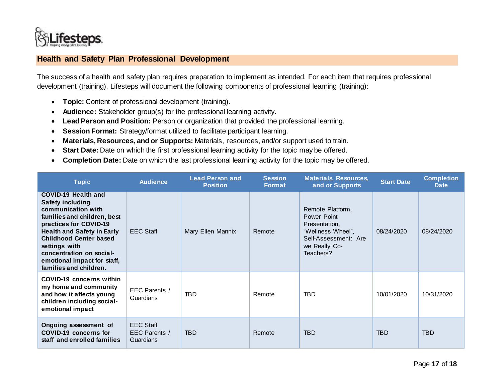

## **Health and Safety Plan Professional Development**

The success of a health and safety plan requires preparation to implement as intended. For each item that requires professional development (training), Lifesteps will document the following components of professional learning (training):

- **Topic:** Content of professional development (training).
- **Audience:** Stakeholder group(s) for the professional learning activity.
- **Lead Person and Position:** Person or organization that provided the professional learning.
- **Session Format:** Strategy/format utilized to facilitate participant learning.
- **Materials, Resources, and or Supports:** Materials, resources, and/or support used to train.
- **Start Date:**Date on which the first professional learning activity for the topic may be offered.
- **Completion Date:** Date on which the last professional learning activity for the topic may be offered.

<span id="page-16-0"></span>

| <b>Topic</b>                                                                                                                                                                                                                                                                                                     | <b>Audience</b>                                | <b>Lead Person and</b><br><b>Position</b> | <b>Session</b><br><b>Format</b> | <b>Materials, Resources,</b><br>and or Supports                                                                             | <b>Start Date</b> | <b>Completion</b><br><b>Date</b> |
|------------------------------------------------------------------------------------------------------------------------------------------------------------------------------------------------------------------------------------------------------------------------------------------------------------------|------------------------------------------------|-------------------------------------------|---------------------------------|-----------------------------------------------------------------------------------------------------------------------------|-------------------|----------------------------------|
| <b>COVID-19 Health and</b><br><b>Safety including</b><br>communication with<br>families and children, best<br>practices for COVID-19<br><b>Health and Safety in Early</b><br><b>Childhood Center based</b><br>settings with<br>concentration on social-<br>emotional impact for staff,<br>families and children. | <b>EEC Staff</b>                               | Mary Ellen Mannix                         | Remote                          | Remote Platform,<br>Power Point<br>Presentation,<br>"Wellness Wheel",<br>Self-Assessment: Are<br>we Really Co-<br>Teachers? | 08/24/2020        | 08/24/2020                       |
| COVID-19 concerns within<br>my home and community<br>and how it affects young<br>children including social-<br>emotional impact                                                                                                                                                                                  | EEC Parents /<br>Guardians                     | <b>TBD</b>                                | Remote                          | <b>TBD</b>                                                                                                                  | 10/01/2020        | 10/31/2020                       |
| Ongoing assessment of<br><b>COVID-19 concerns for</b><br>staff and enrolled families                                                                                                                                                                                                                             | <b>EEC Staff</b><br>EEC Parents /<br>Guardians | <b>TBD</b>                                | Remote                          | <b>TBD</b>                                                                                                                  | <b>TBD</b>        | <b>TBD</b>                       |